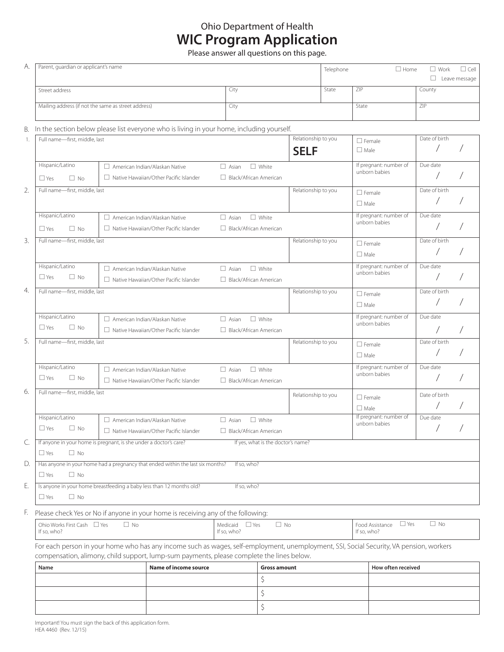## Ohio Department of Health **WIC Program Application**

Please answer all questions on this page.

| А.       | Parent, guardian or applicant's name                                             |                                                                                                                                                                                                                                      |                                                               |                                    | $\Box$ Cell<br>Telephone<br>$\square$ Home<br>$\Box$ Work<br>$\Box$<br>Leave message |                                              |               |  |
|----------|----------------------------------------------------------------------------------|--------------------------------------------------------------------------------------------------------------------------------------------------------------------------------------------------------------------------------------|---------------------------------------------------------------|------------------------------------|--------------------------------------------------------------------------------------|----------------------------------------------|---------------|--|
|          | Street address                                                                   |                                                                                                                                                                                                                                      | City                                                          |                                    | State                                                                                | ZIP                                          | County        |  |
|          | Mailing address (if not the same as street address)                              |                                                                                                                                                                                                                                      | City                                                          |                                    |                                                                                      | State                                        | ZIP           |  |
| В.       |                                                                                  | In the section below please list everyone who is living in your home, including yourself.                                                                                                                                            |                                                               |                                    |                                                                                      |                                              |               |  |
| 1.       | Full name-first, middle, last                                                    |                                                                                                                                                                                                                                      |                                                               | Relationship to you<br><b>SELF</b> |                                                                                      | $\Box$ Female<br>$\Box$ Male                 | Date of birth |  |
|          | Hispanic/Latino<br>$\Box$ Yes<br>$\Box$ No                                       | $\Box$ American Indian/Alaskan Native<br>$\Box$ Native Hawaiian/Other Pacific Islander                                                                                                                                               | $\Box$ White<br>$\Box$ Asian<br>$\Box$ Black/African American |                                    |                                                                                      | If pregnant: number of<br>unborn babies      | Due date      |  |
| 2.       | Full name-first, middle, last                                                    |                                                                                                                                                                                                                                      |                                                               | Relationship to you                |                                                                                      | $\Box$ Female<br>$\Box$ Male                 | Date of birth |  |
|          | Hispanic/Latino<br>$\Box$ Yes<br>$\Box$ No                                       | $\Box$ American Indian/Alaskan Native<br>$\Box$ Native Hawaiian/Other Pacific Islander                                                                                                                                               | $\Box$ White<br>$\Box$ Asian<br>$\Box$ Black/African American |                                    |                                                                                      | If pregnant: number of<br>unborn babies      | Due date      |  |
| 3.       | Full name-first, middle, last                                                    |                                                                                                                                                                                                                                      |                                                               | Relationship to you                |                                                                                      | $\Box$ Female<br>$\Box$ Male                 | Date of birth |  |
|          | Hispanic/Latino<br>$\square$ Yes<br>$\Box$ No                                    | $\Box$ American Indian/Alaskan Native<br>$\Box$ Native Hawaiian/Other Pacific Islander                                                                                                                                               | $\Box$ White<br>$\Box$ Asian<br>$\Box$ Black/African American |                                    |                                                                                      | If pregnant: number of<br>unborn babies      | Due date      |  |
| 4.       | Full name-first, middle, last                                                    |                                                                                                                                                                                                                                      |                                                               | Relationship to you                |                                                                                      | $\Box$ Female<br>$\Box$ Male                 | Date of birth |  |
|          | Hispanic/Latino<br>$\Box$ Yes<br>$\Box$ No                                       | $\Box$ American Indian/Alaskan Native<br>Native Hawaiian/Other Pacific Islander                                                                                                                                                      | $\Box$ White<br>$\Box$ Asian<br>□ Black/African American      |                                    |                                                                                      | If pregnant: number of<br>unborn babies      | Due date      |  |
| 5.       | Full name-first, middle, last                                                    |                                                                                                                                                                                                                                      |                                                               | Relationship to you                |                                                                                      | $\Box$ Female<br>$\Box$ Male                 | Date of birth |  |
|          | Hispanic/Latino<br>$\Box$ Yes<br>$\Box$ No                                       | $\Box$ American Indian/Alaskan Native<br>$\Box$ Native Hawaiian/Other Pacific Islander                                                                                                                                               | $\Box$ White<br>$\Box$ Asian<br>□ Black/African American      |                                    |                                                                                      | If pregnant: number of<br>unborn babies      | Due date      |  |
| 6.       | Full name-first, middle, last                                                    |                                                                                                                                                                                                                                      |                                                               | Relationship to you                |                                                                                      | $\Box$ Female<br>$\Box$ Male                 | Date of birth |  |
|          | Hispanic/Latino<br>$\Box$ No<br>$\Box$ Yes                                       | $\Box$ American Indian/Alaskan Native<br>□ Native Hawaiian/Other Pacific Islander                                                                                                                                                    | $\Box$ White<br>$\Box$ Asian<br>$\Box$ Black/African American |                                    |                                                                                      | If pregnant: number of<br>unborn babies      | Due date      |  |
| C.<br>D. | $\Box$ No<br>$\Box$ Yes                                                          | If anyone in your home is pregnant, is she under a doctor's care?                                                                                                                                                                    | If yes, what is the doctor's name?<br>If so, who?             |                                    |                                                                                      |                                              |               |  |
| Е.       | $\Box$ Yes<br>$\Box$ No                                                          | Has anyone in your home had a pregnancy that ended within the last six months?<br>Is anyone in your home breastfeeding a baby less than 12 months old?                                                                               | If so, who?                                                   |                                    |                                                                                      |                                              |               |  |
|          | $\Box$ No<br>$\Box$ Yes                                                          |                                                                                                                                                                                                                                      |                                                               |                                    |                                                                                      |                                              |               |  |
| F.       | Please check Yes or No if anyone in your home is receiving any of the following: |                                                                                                                                                                                                                                      |                                                               |                                    |                                                                                      |                                              |               |  |
|          | Ohio Works First Cash $\Box$ Yes<br>If so, who?                                  | $\Box$ No                                                                                                                                                                                                                            | $\Box$ No<br>$\Box$ Yes<br>Medicaid<br>If so, who?            |                                    |                                                                                      | $\Box$ Yes<br>Food Assistance<br>If so, who? | $\Box$ No     |  |
|          |                                                                                  | For each person in your home who has any income such as wages, self-employment, unemployment, SSI, Social Security, VA pension, workers<br>compensation, alimony, child support, lump-sum payments, please complete the lines below. |                                                               |                                    |                                                                                      |                                              |               |  |

| Name | Name of income source | <b>Gross amount</b> | How often received |
|------|-----------------------|---------------------|--------------------|
|      |                       |                     |                    |
|      |                       |                     |                    |
|      |                       |                     |                    |

Important! You must sign the back of this application form. HEA 4460 (Rev. 12/15)